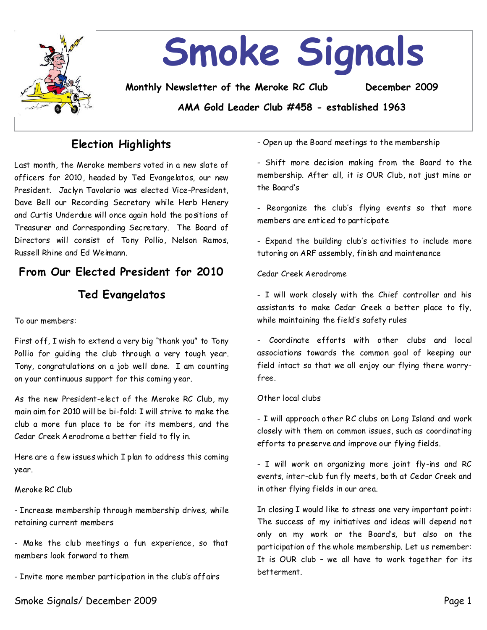

# **Election Highlights**

Last month, the Meroke members voted in a new slate of officers for 2010, headed by Ted Evangelatos, our new President. Jaclyn Tavolario was elected Vice-President, Dave Bell our Recording Secretary while Herb Henery and Curtis Underdue will once again hold the positions of Treasurer and Corresponding Secretary. The Board of Directors will consist of Tony Pollio, Nelson Ramos, Russell Rhine and Ed Weimann.

# From Our Elected President for 2010

### **Ted Evangelatos**

To our members:

First off, I wish to extend a very big "thank you" to Tony Pollio for guiding the club through a very tough year. Tony, congratulations on a job well done. I am counting on your continuous support for this coming year.

As the new President-elect of the Meroke RC Club, my main aim for 2010 will be bi-fold: I will strive to make the club a more fun place to be for its members, and the Cedar Creek Aerodrome a better field to fly in.

Here are a few issues which I plan to address this coming year.

#### Meroke RC Club

-Increase membership through membership drives, while retaining current members

- Make the club meetings a fun experience, so that members look forward to them

-Invite more member participation in the club's affairs

-Open up the Board meetings to the membership

-Shift more decision making from the Board to the membership. After all, it is OUR Club, not just mine or the Board's

- Reorganize the club's flying events so that more members are enticed to participate

-Expand the building club's activities to include more tutoring on ARF assembly, finish and maintenance

#### Cedar Creek Aerodrome

-I will work closely with the Chief controller and his assistants to make Cedar Creek a better place to fly, while maintaining the field's safety rules

- Coordinate efforts with other clubs and local associations towards the common goal of keeping our field intact so that we all enjoy our flying there worry free.

#### Other local clubs

- I will approach other RC clubs on Long Island and work closely with them on common issues, such as coordinating efforts to preserve and improve our flying fields.

-I will work on organizing more joint fly-ins and RC events, inter-club fun fly meets, both at Cedar Creek and in other flying fields in our area.

In closing I would like to stress one very important point: The success of my initiatives and ideas will depend not only on my work or the Board's, but also on the participation of the whole membership. Let us remember: It is OUR club - we all have to work together for its betterment.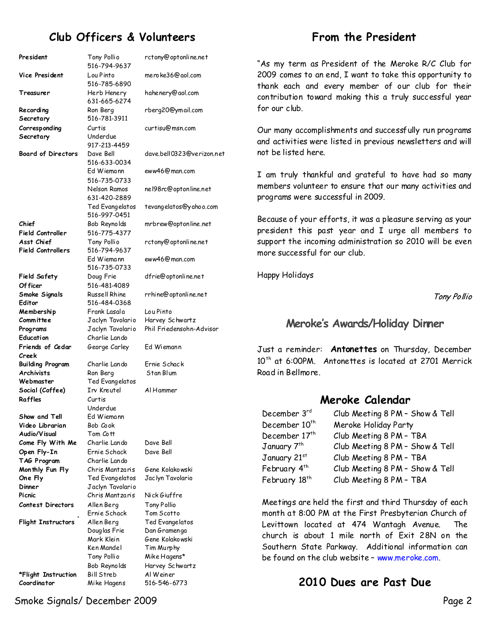# **Club Officers & Volunteers**

#### President Tony Pollio 516-794-9637 rctony@optonline.net **Vice President** Lou Pinto 516-785-6890 **Treasurer** Herb Henery 631-665-6274 **Recording Secretary** Ron Berg 516-781-3911 **Corresponding Secretary** Curtis Underdue 917-213-4459 **Board of Directors** Dave Bell 516-633-0034 Ed Wiemann 516-735-0733 Nelson Ramos 631-420-2889 Ted Evangelatos 516-997-0451 **Chief Field Controller** Bob Reynolds 516-775-4377 **Asst Chief Field Controllers** Tony Pollio 516-794-9637 Ed Wiemann 516-735-0733 **Field Safety Of ficer** Doug Frie 516-481-4089 **Smoke Signals Editor** Russell Rhine 516-484-0368 **Membership Committee** Frank Lasala Jaclyn Tavolario **Programs** Jaclyn Tavolario Phil Friedensohn-Advisor **Education** Charlie Lando **Friends of Cedar Creek** George Carley Ed Wiemann **Building Program**  Charlie Lando Ernie Schack Archivists Ron Berg Stan Blum **Webmaster** Ted Evangelatos **Social (Coffee)** Irv Kreutel Al Hammer **Raffles** Curtis Underdue **Show and Tell Ed Wiemann Video Librarian** Bob Cook **Audio/Visual**  Tom Cott **Come Fly With Me** Charlie Lando Dave Bell **Open Fly-In** Ernie Schack Dave Bell **TAG Program** Charlie Lando **Monthly Fun Fly** Chris Mantzaris Gene Kolakowski **One Fly** Ted Evangelatos Jaclyn Tavolario **Dinner** Jaclyn Tavolario **Picnic** Chris Mantzaris Nick Giuffre **Contest Directors** Allen Berg Tony Pollio Ernie Schack Tom Scotto **Flight Instructors** Allen Berg Ted Evangelatos Douglas Frie Dan Gramenga Mark Klein Gene Kolakowski Ken Mandel Tim Murphy Tony Pollio Mike Hagens\* Bob Reynolds Harvey Schwartz **\*Flight Instruction** Bill Streb Al Weiner **Coordinator** Mike Hagens 516-546-6773

meroke36@aol.com hahenery@aol.com rberg20@ymail.com curtisu@msn.com dave.bell0323@verizon.net eww46@man.com nel98rc@optonline.net tevangelatos@yahoo.com mrbrew@optonline.net rctony@optonline.net eww46@man.com dfrie@optonline.net rrhine@optonline.net Lou Pinto Harvey Schwartz

### **From the President**

"As my term as President of the Meroke R/C Club for 2009 comes to an end, I want to take this opportunity to thank each and every member of our club for their contribution toward making this a truly successful year for our club.

Our many accomplishments and successfully run programs and activities were listed in previous newsletters and will not be listed here.

I am truly thankful and grateful to have had so many members volunteer to ensure that our many activities and programs were successful in 2009.

Because of your efforts, it was a pleasure serving as your president this past year and I urge all members to support the incoming administration so 2010 will be even more successful for our club.

Happy Holidays

Tony Pollio

### Meroke's Awards/Holiday Dinner

Justa reminder: **Antonettes**on Thursday, December 10<sup>th</sup> at 6:00PM. Antonettes is located at 2701 Merrick Road in Bellmore.

### **Meroke Calendar**

| December 3rd              | Club Meeting 8 PM - Show & Tell |
|---------------------------|---------------------------------|
| December 10 <sup>th</sup> | Meroke Holiday Party            |
| December 17 <sup>th</sup> | Club Meeting 8 PM - TBA         |
| January 7 <sup>th</sup>   | Club Meeting 8 PM - Show & Tell |
| January 21st              | Club Meeting 8 PM - TBA         |
| February 4th              | Club Meeting 8 PM - Show & Tell |
| February 18 <sup>th</sup> | Club Meeting 8 PM - TBA         |

Meetings are held the first and third Thursday of each month at 8:00 PM at the First Presbyterian Church of Levittown located at 474 Wantagh Avenue. The church is about 1 mile north of Exit 28N on the Southern State Parkway. Additional information can be found on the club website - www.meroke.com.

**2010 Dues are Past Due** 

Smoke Signals/ December 2009 Page 2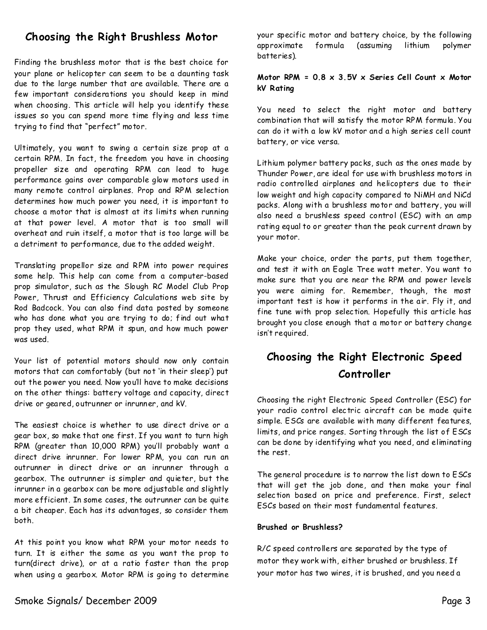### **Choosing the Right Brushless Motor**

Finding the brushless motor that is the best choice for your plane or helicopter can seem to be a daunting task due to the large number that are available. There are a few important considerations you should keep in mind when choosing. This article will help you identify these issues so you can spend more time flying and less time trying to find that "perfect" motor.

Ultimately, you want to swing a certain size prop at a certain RPM. In fact, the freedom you have in choosing propeller size and operating RPM can lead to huge performance gains over comparable glow motors used in many remote control airplanes. Prop and RPM selection determines how much power you need, it is important to choose a motor that is almost at its limits when running at that power level. A motor that is too small will overheat and ruin itself, a motor that is too large will be a detriment to performance, due to the added weight.

Translating propellor size and RPM into power requires some help. This help can come from a computer-based prop simulator, such as the Slough RC Model Club Prop Power, Thrust and Efficiency Calculations web site by Rod Badcock. You can also find data posted by someone who has done what you are trying to do; find out what prop they used, what RPM it spun, and how much power was used.

Your list of potential motors should now only contain motors that can comfortably (but not 'in their sleep') put out the power you need. Now you'll have to make decisions on the other things: battery voltage and capacity, direct drive or geared, outrunner or inrunner, and kV.

The easiest choice is whether to use direct drive or a gear box, so make that one first. If you want to turn high RPM (greater than 10,000 RPM) you'll probably want a direct drive inrunner. For lower RPM, you can run an outrunner in direct drive or an inrunner through a gearbox. The outrunner is simpler and quieter, but the inrunner in a gearbox can be more adjustable and slightly more efficient. In some cases, the outrunner can be quite a bit cheaper. Each has its advantages, so consider them both.

At this point you know what RPM your motor needs to turn. It is either the same as you want the prop to turn(direct drive), or at a ratio faster than the prop when using a gearbox. Motor RPM is going to determine your specific motor and battery choice, by the following approximate formula (assuming lithium polymer batteries).

#### **Motor RPM = 0.8 x 3.5V x Series Cell Count x Motor kV Rating**

You need to select the right motor and battery combination that will satisfy the motor RPM formula. You can do it with a low kV motor and a high series cell count battery, or vice versa.

Lithium polymer battery packs, such as the ones made by Thunder Power, are ideal for use with brushless motors in radio controlled airplanes and helicopters due to their low weight and high capacity compared to NiMH and NiCd packs. Along with a brushless motor and battery, you will also need a brushless speed control (ESC) with an amp rating equal to or greater than the peak current drawn by your motor.

Make your choice, order the parts, put them together, and test it with an Eagle Tree watt meter. You want to make sure that you are near the RPM and power levels you were aiming for. Remember, though, the most important test is how it performs in the air. Fly it, and fine tune with prop selection. Hopefully this article has brought you close enough that a motor or battery change isn't required.

# **Choosing the Right Electronic Speed Controller**

Choosing the right Electronic Speed Controller (ESC) for your radio control electric aircraft can be made quite simple. ESCs are available with many different features, limits, and price ranges. Sorting through the list of ESCs can be done by identifying what you need, and eliminating the rest.

The general procedure is to narrow the list down to ESCs that will get the job done, and then make your final selection based on price and preference. First, select ESCs based on their most fundamental features.

#### **Brushed or Brushless?**

R/C speed controllers are separated by the type of motor they work with, either brushed or brushless. If your motor has two wires, it is brushed, and you need a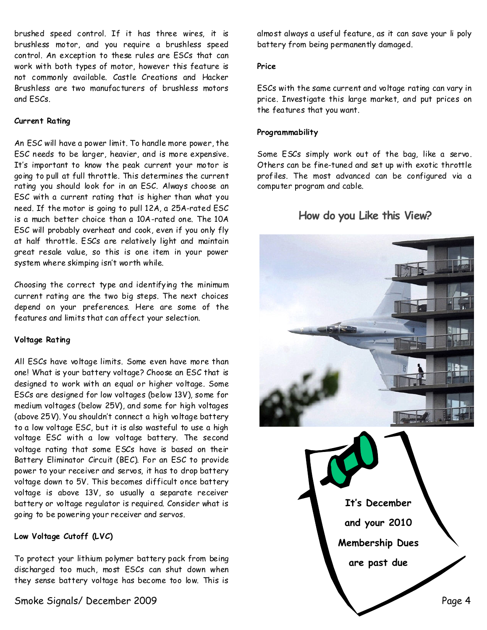brushed speed control. If it has three wires, it is brushless motor, and you require a brushless speed control. An exception to these rules are ESCs that can work with both types of motor, however this feature is not commonly available. Castle Creations and Hacker Brushless are two manufacturers of brushless motors and ESCs.

#### **Current Rating**

An ESC will have a power limit. To handle more power, the ESC needs to be larger, heavier, and is more expensive. It's important to know the peak current your motor is going to pull at full throttle. This determines the current rating you should look for in an ESC. Always choose an ESC with a current rating that is higher than what you need. If the motor is going to pull 12A, a 25A-rated ESC is a much better choice than a 10A-rated one. The 10A ESC will probably overheat and cook, even if you only fly at half throttle. ESCs are relatively light and maintain great resale value, so this is one item in your power system where skimping isn't worth while.

Choosing the correct type and identifying the minimum current rating are the two big steps. The next choices depend on your preferences. Here are some of the features and limits that canaffect your selection.

#### **Voltage Rating**

All ESCs have voltage limits. Some even have more than one! What is your battery voltage? Choose an ESC that is designed to work with an equal or higher voltage. Some ESCs are designed for low voltages (below 13V), some for medium voltages (below 25V), and some for high voltages (above 25V). You shouldn't connect a high voltage battery to a low voltage ESC, but it is also wasteful to use a high voltage ESC with a low voltage battery. The second voltage rating that some ESCs have is based on their Battery Eliminator Circuit (BEC). For an ESC to provide power to your receiver and servos, it has to drop battery voltage down to 5V. This becomes difficult once battery voltage is above 13V, so usually a separate receiver battery or voltage regulator is required. Consider what is going to be powering your receiver and servos.

#### **Low Voltage Cutoff (LVC)**

To protect your lithium polymer battery pack from being discharged too much, most ESCs can shut down when they sense battery voltage has become too low. This is

almost always a useful feature, as it can save your li poly battery from being permanently damaged.

#### **Price**

ESCs with the same current and voltage rating can vary in price. Investigate this large market, and put prices on the features that you want.

#### **Programmability**

Some ESCs simply work out of the bag, like a servo. Others can be fine-tuned and set up with exotic throttle profiles. The most advanced can be configured via a computer program and cable.

### **How do you Like this View?**

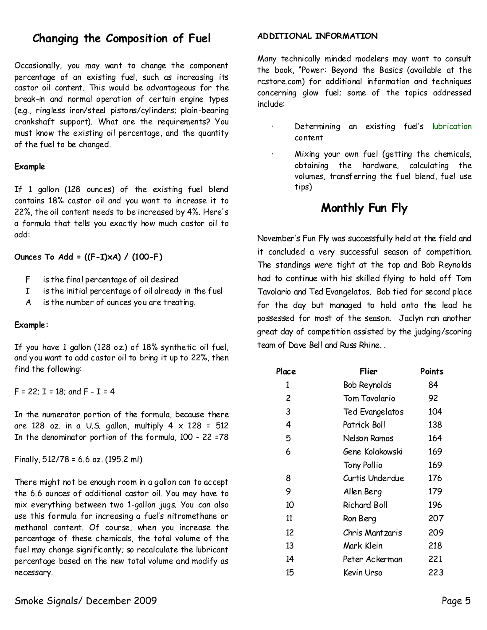# **Changing the Composition of Fuel**

Occasionally, you may want to change the component percentage of an existing fuel, such as increasing its castor oil content. This would be advantageous for the break-in and normal operation of certain engine types (e.g., ringless iron/steel pistons/cylinders; plain-bearing crankshaft support). What are the requirements? You must know the existing oil percentage, and the quantity of the fuel to be changed.

#### **Example**

If 1 gallon (128 ounces) of the existing fuel blend contains 18% castor oil and you want to increase it to 22%, the oil content needs to be increased by 4%. Here's a formula that tells you exactly how much castor oil to add:

**Ounces To Add =((F-I)xA)/(100-F)**

- F is the final percentage of oil desired
- I is the initial percentage of oil already in the fuel
- A is the number of ounces you are treating.

#### **Example:**

If you have 1 gallon (128 oz.) of 18% synthetic oil fuel, and youwant to add castor oil to bring it up to 22%, then find the following:

 $F = 22$ ;  $I = 18$ ; and  $F - I = 4$ 

In the numerator portion of the formula, because there are 128 oz. in a U.S. gallon, multiply  $4 \times 128 = 512$ In the denominator portion of the formula, 100-22 =78

Finally,512/78= 6.6 oz. (195.2 ml)

There might not be enough room in a gallon can to accept the 6.6 ounces of additional castor oil. You may have to mix everything between two 1-gallon jugs. You can also use this formula for increasing a fuel's nitromethane or methanol content. Of course, when you increase the percentage of these chemicals, the total volume of the fuel may change significantly; so recalculate the lubricant percentage based on the new total volume and modify as necessary.

#### **ADDITIONAL INFORMATION**

Many technically minded modelers may want to consult the book, "Power: Beyond the Basics (available at the rcstore.com) for additional information and techniques concerning glow fuel; some of the topics addressed include:

- Determining an existing fuel's lubrication content
- · Mixing your own fuel (getting the chemicals, obtaining the hardware, calculating the volumes, transferring the fuel blend, fuel use tips)

# **Monthly Fun Fly**

November's Fun Fly was successfully held at the field and it concluded a very successful season of competition. The standings were tight at the top and Bob Reynolds had to continue with his skilled flying to hold off Tom Tavolario and Ted Evangelatos. Bob tied for second place for the day but managed to hold onto the lead he possessed for most of the season. Jaclyn ran another great day of competition assisted by the judging/scoring team of Dave Bell and Russ Rhine..

| Place | Flier               | Points |
|-------|---------------------|--------|
| 1     | <b>Bob Reynolds</b> | 84     |
| 2     | Tom Tavolario       | 92     |
| 3     | Ted Evangelatos     | 104    |
| 4     | Patrick Boll        | 138    |
| 5     | Nelson Ramos        | 164    |
| 6     | Gene Kolakowski     | 169    |
|       | <b>Tony Pollio</b>  | 169    |
| 8     | Curtis Underdue     | 176    |
| 9     | Allen Berg          | 179    |
| 10    | <b>Richard Boll</b> | 196    |
| 11    | Ron Berg            | 207    |
| 12    | Chris Mantzaris     | 209    |
| 13    | Mark Klein          | 218    |
| 14    | Peter Ackerman      | 221    |
| 15    | Kevin Urso          | 223    |